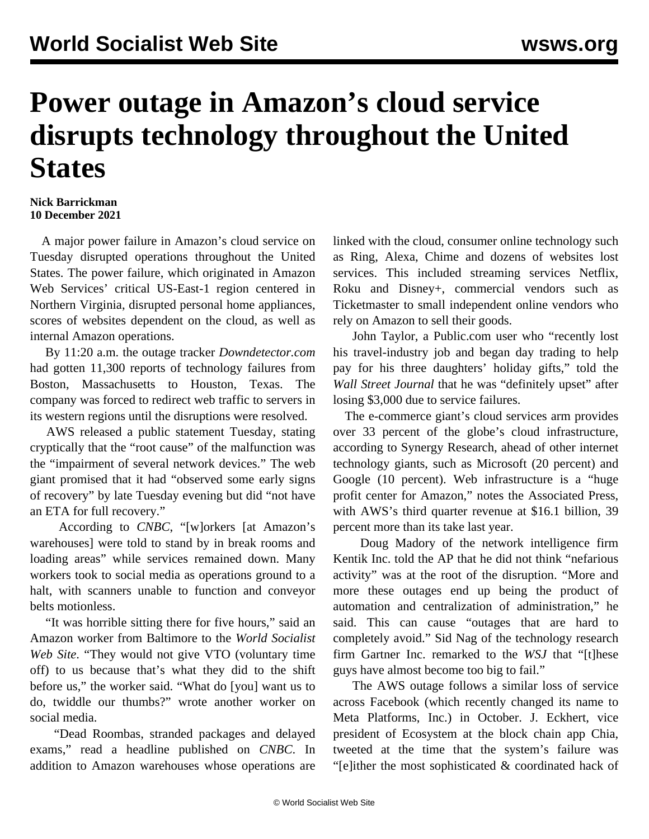## **Power outage in Amazon's cloud service disrupts technology throughout the United States**

## **Nick Barrickman 10 December 2021**

 A major power failure in Amazon's cloud service on Tuesday disrupted operations throughout the United States. The power failure, which originated in Amazon Web Services' critical US-East-1 region centered in Northern Virginia, disrupted personal home appliances, scores of websites dependent on the cloud, as well as internal Amazon operations.

 By 11:20 a.m. the outage tracker *Downdetector.com* had gotten 11,300 reports of technology failures from Boston, Massachusetts to Houston, Texas. The company was forced to redirect web traffic to servers in its western regions until the disruptions were resolved.

 AWS released a public statement Tuesday, stating cryptically that the "root cause" of the malfunction was the "impairment of several network devices." The web giant promised that it had "observed some early signs of recovery" by late Tuesday evening but did "not have an ETA for full recovery."

 According to *CNBC*, "[w]orkers [at Amazon's warehouses] were told to stand by in break rooms and loading areas" while services remained down. Many workers took to social media as operations ground to a halt, with scanners unable to function and conveyor belts motionless.

 "It was horrible sitting there for five hours," said an Amazon worker from Baltimore to the *World Socialist Web Site*. "They would not give VTO (voluntary time off) to us because that's what they did to the shift before us," the worker said. "What do [you] want us to do, twiddle our thumbs?" wrote another worker on social media.

 "Dead Roombas, stranded packages and delayed exams," read a headline published on *CNBC*. In addition to Amazon warehouses whose operations are linked with the cloud, consumer online technology such as Ring, Alexa, Chime and dozens of websites lost services. This included streaming services Netflix, Roku and Disney+, commercial vendors such as Ticketmaster to small independent online vendors who rely on Amazon to sell their goods.

 John Taylor, a Public.com user who "recently lost his travel-industry job and began day trading to help pay for his three daughters' holiday gifts," told the *Wall Street Journal* that he was "definitely upset" after losing \$3,000 due to service failures.

 The e-commerce giant's cloud services arm provides over 33 percent of the globe's cloud infrastructure, according to Synergy Research, ahead of other internet technology giants, such as Microsoft (20 percent) and Google (10 percent). Web infrastructure is a "huge profit center for Amazon," notes the Associated Press, with AWS's third quarter revenue at \$16.1 billion, 39 percent more than its take last year.

 Doug Madory of the network intelligence firm Kentik Inc. told the AP that he did not think "nefarious activity" was at the root of the disruption. "More and more these outages end up being the product of automation and centralization of administration," he said. This can cause "outages that are hard to completely avoid." Sid Nag of the technology research firm Gartner Inc. remarked to the *WSJ* that "[t]hese guys have almost become too big to fail."

 The AWS outage follows a [similar](/en/articles/2021/10/05/face-o05.html) loss of service across Facebook (which recently changed its name to Meta Platforms, Inc.) in October. J. Eckhert, vice president of Ecosystem at the block chain app Chia, tweeted at the time that the system's failure was "[e]ither the most sophisticated & coordinated hack of